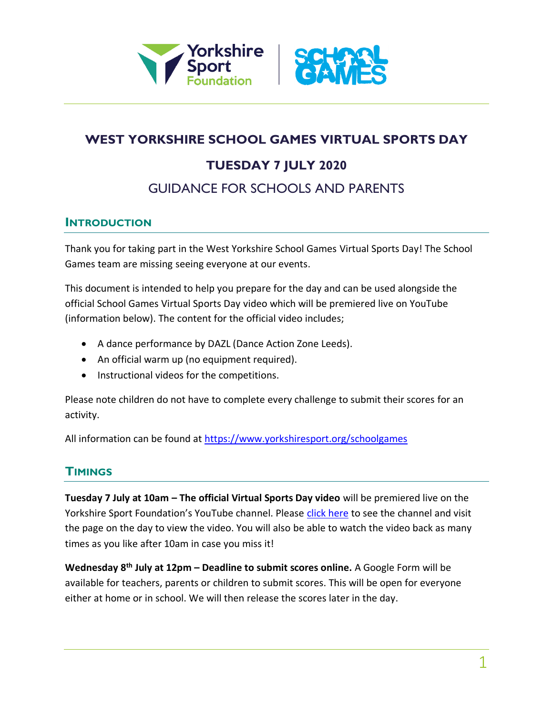



# **WEST YORKSHIRE SCHOOL GAMES VIRTUAL SPORTS DAY**

# **TUESDAY 7 JULY 2020**

# GUIDANCE FOR SCHOOLS AND PARENTS

### **INTRODUCTION**

Thank you for taking part in the West Yorkshire School Games Virtual Sports Day! The School Games team are missing seeing everyone at our events.

This document is intended to help you prepare for the day and can be used alongside the official School Games Virtual Sports Day video which will be premiered live on YouTube (information below). The content for the official video includes;

- A dance performance by DAZL (Dance Action Zone Leeds).
- An official warm up (no equipment required).
- Instructional videos for the competitions.

Please note children do not have to complete every challenge to submit their scores for an activity.

All information can be found at<https://www.yorkshiresport.org/schoolgames>

## **TIMINGS**

**Tuesday 7 July at 10am – The official Virtual Sports Day video** will be premiered live on the Yorkshire Sport Foundation's YouTube channel. Please [click here](https://www.youtube.com/user/WestYorkshireSport) to see the channel and visit the page on the day to view the video. You will also be able to watch the video back as many times as you like after 10am in case you miss it!

**Wednesday 8th July at 12pm – Deadline to submit scores online.** A Google Form will be available for teachers, parents or children to submit scores. This will be open for everyone either at home or in school. We will then release the scores later in the day.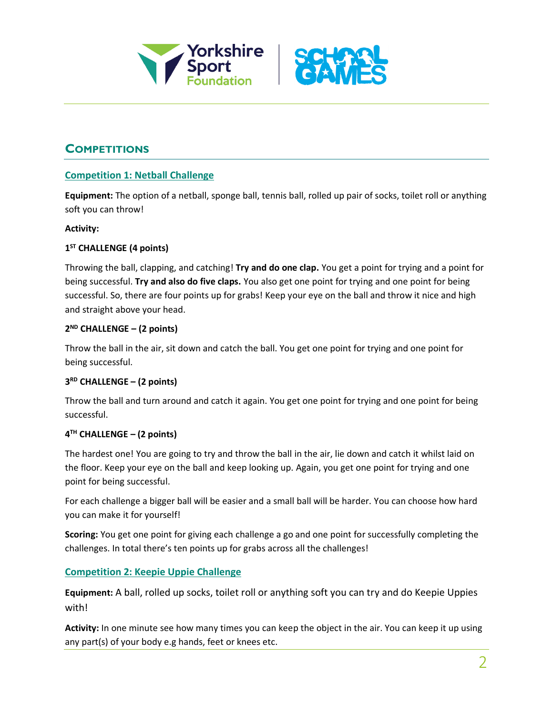



## **COMPETITIONS**

#### **Competition 1: Netball Challenge**

**Equipment:** The option of a netball, sponge ball, tennis ball, rolled up pair of socks, toilet roll or anything soft you can throw!

#### **Activity:**

#### **1 ST CHALLENGE (4 points)**

Throwing the ball, clapping, and catching! **Try and do one clap.** You get a point for trying and a point for being successful. **Try and also do five claps.** You also get one point for trying and one point for being successful. So, there are four points up for grabs! Keep your eye on the ball and throw it nice and high and straight above your head.

#### **2 ND CHALLENGE – (2 points)**

Throw the ball in the air, sit down and catch the ball. You get one point for trying and one point for being successful.

#### **3 RD CHALLENGE – (2 points)**

Throw the ball and turn around and catch it again. You get one point for trying and one point for being successful.

#### **4 TH CHALLENGE – (2 points)**

The hardest one! You are going to try and throw the ball in the air, lie down and catch it whilst laid on the floor. Keep your eye on the ball and keep looking up. Again, you get one point for trying and one point for being successful.

For each challenge a bigger ball will be easier and a small ball will be harder. You can choose how hard you can make it for yourself!

**Scoring:** You get one point for giving each challenge a go and one point for successfully completing the challenges. In total there's ten points up for grabs across all the challenges!

#### **Competition 2: Keepie Uppie Challenge**

**Equipment:** A ball, rolled up socks, toilet roll or anything soft you can try and do Keepie Uppies with!

**Activity:** In one minute see how many times you can keep the object in the air. You can keep it up using any part(s) of your body e.g hands, feet or knees etc.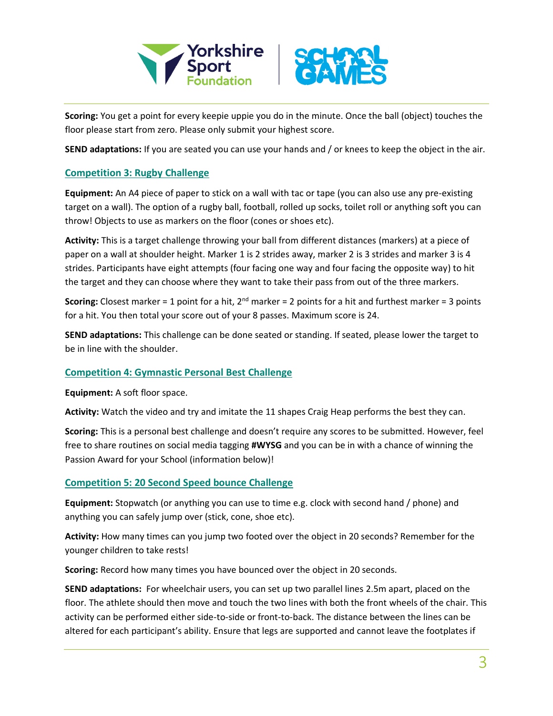



**Scoring:** You get a point for every keepie uppie you do in the minute. Once the ball (object) touches the floor please start from zero. Please only submit your highest score.

**SEND adaptations:** If you are seated you can use your hands and / or knees to keep the object in the air.

#### **Competition 3: Rugby Challenge**

**Equipment:** An A4 piece of paper to stick on a wall with tac or tape (you can also use any pre-existing target on a wall). The option of a rugby ball, football, rolled up socks, toilet roll or anything soft you can throw! Objects to use as markers on the floor (cones or shoes etc).

**Activity:** This is a target challenge throwing your ball from different distances (markers) at a piece of paper on a wall at shoulder height. Marker 1 is 2 strides away, marker 2 is 3 strides and marker 3 is 4 strides. Participants have eight attempts (four facing one way and four facing the opposite way) to hit the target and they can choose where they want to take their pass from out of the three markers.

**Scoring:** Closest marker = 1 point for a hit, 2nd marker = 2 points for a hit and furthest marker = 3 points for a hit. You then total your score out of your 8 passes. Maximum score is 24.

**SEND adaptations:** This challenge can be done seated or standing. If seated, please lower the target to be in line with the shoulder.

#### **Competition 4: Gymnastic Personal Best Challenge**

**Equipment:** A soft floor space.

**Activity:** Watch the video and try and imitate the 11 shapes Craig Heap performs the best they can.

**Scoring:** This is a personal best challenge and doesn't require any scores to be submitted. However, feel free to share routines on social media tagging **#WYSG** and you can be in with a chance of winning the Passion Award for your School (information below)!

#### **Competition 5: 20 Second Speed bounce Challenge**

**Equipment:** Stopwatch (or anything you can use to time e.g. clock with second hand / phone) and anything you can safely jump over (stick, cone, shoe etc).

**Activity:** How many times can you jump two footed over the object in 20 seconds? Remember for the younger children to take rests!

**Scoring:** Record how many times you have bounced over the object in 20 seconds.

**SEND adaptations:** For wheelchair users, you can set up two parallel lines 2.5m apart, placed on the floor. The athlete should then move and touch the two lines with both the front wheels of the chair. This activity can be performed either side-to-side or front-to-back. The distance between the lines can be altered for each participant's ability. Ensure that legs are supported and cannot leave the footplates if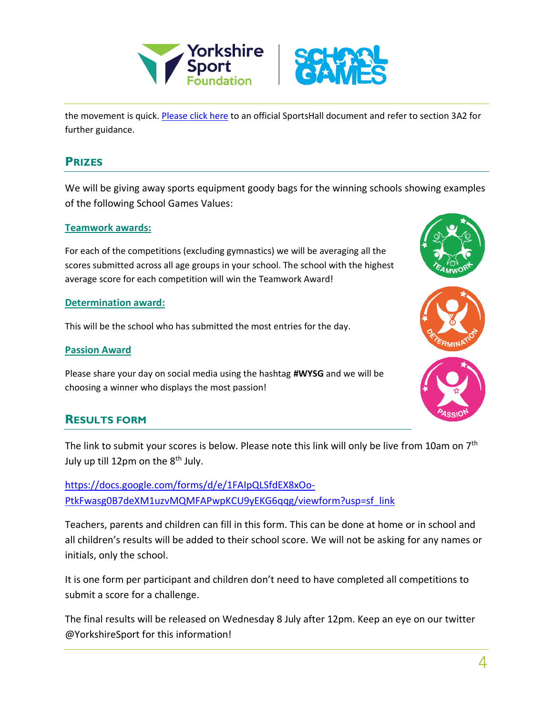



the movement is quick. [Please click here](http://www.sportshall.org/wp-content/uploads/2014/08/Sportshall-disability-resource.pdf) to an official SportsHall document and refer to section 3A2 for further guidance.

### **PRIZES**

We will be giving away sports equipment goody bags for the winning schools showing examples of the following School Games Values:

#### **Teamwork awards:**

For each of the competitions (excluding gymnastics) we will be averaging all the scores submitted across all age groups in your school. The school with the highest average score for each competition will win the Teamwork Award!

#### **Determination award:**

This will be the school who has submitted the most entries for the day.

#### **Passion Award**

Please share your day on social media using the hashtag **#WYSG** and we will be choosing a winner who displays the most passion!

### **RESULTS FORM**

The link to submit your scores is below. Please note this link will only be live from 10am on 7<sup>th</sup> July up till 12pm on the  $8<sup>th</sup>$  July.

[https://docs.google.com/forms/d/e/1FAIpQLSfdEX8xOo-](https://docs.google.com/forms/d/e/1FAIpQLSfdEX8xOo-PtkFwasg0B7deXM1uzvMQMFAPwpKCU9yEKG6qqg/viewform?usp=sf_link)[PtkFwasg0B7deXM1uzvMQMFAPwpKCU9yEKG6qqg/viewform?usp=sf\\_link](https://docs.google.com/forms/d/e/1FAIpQLSfdEX8xOo-PtkFwasg0B7deXM1uzvMQMFAPwpKCU9yEKG6qqg/viewform?usp=sf_link)

Teachers, parents and children can fill in this form. This can be done at home or in school and all children's results will be added to their school score. We will not be asking for any names or initials, only the school.

It is one form per participant and children don't need to have completed all competitions to submit a score for a challenge.

The final results will be released on Wednesday 8 July after 12pm. Keep an eye on our twitter @YorkshireSport for this information!